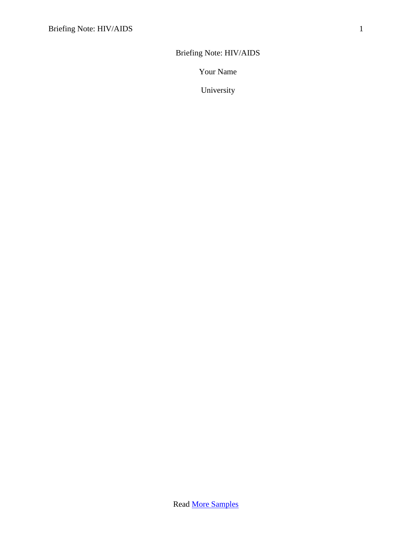Briefing Note: HIV/AIDS

Your Name

University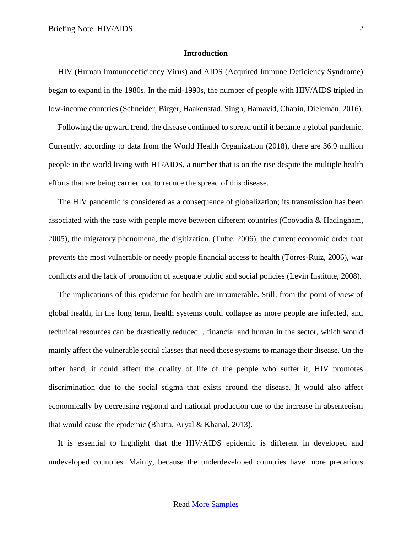### **Introduction**

HIV (Human Immunodeficiency Virus) and AIDS (Acquired Immune Deficiency Syndrome) began to expand in the 1980s. In the mid-1990s, the number of people with HIV/AIDS tripled in low-income countries (Schneider, Birger, Haakenstad, Singh, Hamavid, Chapin, Dieleman, 2016).

Following the upward trend, the disease continued to spread until it became a global pandemic. Currently, according to data from the World Health Organization (2018), there are 36.9 million people in the world living with HI /AIDS, a number that is on the rise despite the multiple health efforts that are being carried out to reduce the spread of this disease.

The HIV pandemic is considered as a consequence of globalization; its transmission has been associated with the ease with people move between different countries (Coovadia & Hadingham, 2005), the migratory phenomena, the digitization, (Tufte, 2006), the current economic order that prevents the most vulnerable or needy people financial access to health (Torres-Ruiz, 2006), war conflicts and the lack of promotion of adequate public and social policies (Levin Institute, 2008).

The implications of this epidemic for health are innumerable. Still, from the point of view of global health, in the long term, health systems could collapse as more people are infected, and technical resources can be drastically reduced. , financial and human in the sector, which would mainly affect the vulnerable social classes that need these systems to manage their disease. On the other hand, it could affect the quality of life of the people who suffer it, HIV promotes discrimination due to the social stigma that exists around the disease. It would also affect economically by decreasing regional and national production due to the increase in absenteeism that would cause the epidemic (Bhatta, Aryal & Khanal, 2013).

It is essential to highlight that the HIV/AIDS epidemic is different in developed and undeveloped countries. Mainly, because the underdeveloped countries have more precarious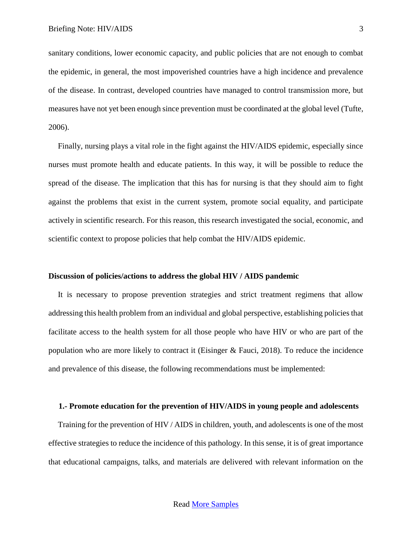sanitary conditions, lower economic capacity, and public policies that are not enough to combat the epidemic, in general, the most impoverished countries have a high incidence and prevalence of the disease. In contrast, developed countries have managed to control transmission more, but measures have not yet been enough since prevention must be coordinated at the global level (Tufte, 2006).

Finally, nursing plays a vital role in the fight against the HIV/AIDS epidemic, especially since nurses must promote health and educate patients. In this way, it will be possible to reduce the spread of the disease. The implication that this has for nursing is that they should aim to fight against the problems that exist in the current system, promote social equality, and participate actively in scientific research. For this reason, this research investigated the social, economic, and scientific context to propose policies that help combat the HIV/AIDS epidemic.

### **Discussion of policies/actions to address the global HIV / AIDS pandemic**

It is necessary to propose prevention strategies and strict treatment regimens that allow addressing this health problem from an individual and global perspective, establishing policies that facilitate access to the health system for all those people who have HIV or who are part of the population who are more likely to contract it (Eisinger & Fauci, 2018). To reduce the incidence and prevalence of this disease, the following recommendations must be implemented:

#### **1.- Promote education for the prevention of HIV/AIDS in young people and adolescents**

Training for the prevention of HIV / AIDS in children, youth, and adolescents is one of the most effective strategies to reduce the incidence of this pathology. In this sense, it is of great importance that educational campaigns, talks, and materials are delivered with relevant information on the

## Read [More Samples](https://www.nursingessaywriters.co.uk/samples/all)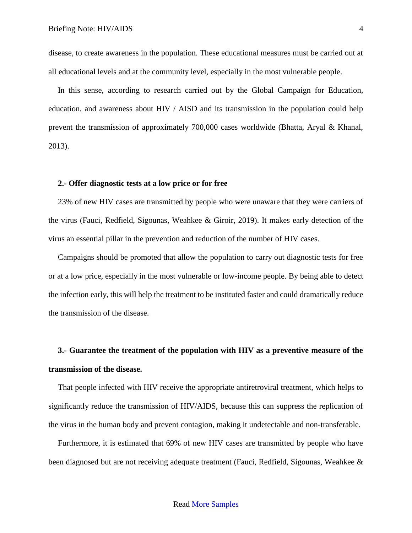disease, to create awareness in the population. These educational measures must be carried out at all educational levels and at the community level, especially in the most vulnerable people.

In this sense, according to research carried out by the Global Campaign for Education, education, and awareness about HIV / AISD and its transmission in the population could help prevent the transmission of approximately 700,000 cases worldwide (Bhatta, Aryal & Khanal, 2013).

## **2.- Offer diagnostic tests at a low price or for free**

23% of new HIV cases are transmitted by people who were unaware that they were carriers of the virus (Fauci, Redfield, Sigounas, Weahkee & Giroir, 2019). It makes early detection of the virus an essential pillar in the prevention and reduction of the number of HIV cases.

Campaigns should be promoted that allow the population to carry out diagnostic tests for free or at a low price, especially in the most vulnerable or low-income people. By being able to detect the infection early, this will help the treatment to be instituted faster and could dramatically reduce the transmission of the disease.

# **3.- Guarantee the treatment of the population with HIV as a preventive measure of the transmission of the disease.**

That people infected with HIV receive the appropriate antiretroviral treatment, which helps to significantly reduce the transmission of HIV/AIDS, because this can suppress the replication of the virus in the human body and prevent contagion, making it undetectable and non-transferable.

Furthermore, it is estimated that 69% of new HIV cases are transmitted by people who have been diagnosed but are not receiving adequate treatment (Fauci, Redfield, Sigounas, Weahkee &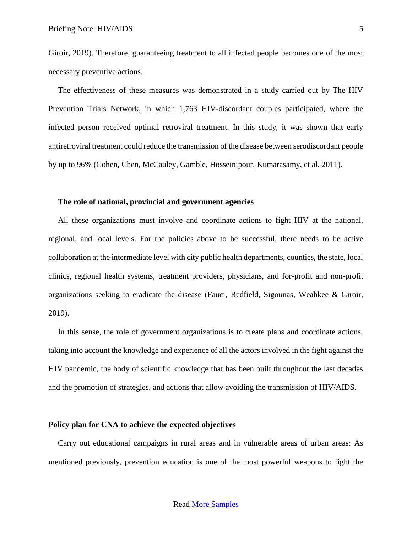Giroir, 2019). Therefore, guaranteeing treatment to all infected people becomes one of the most necessary preventive actions.

The effectiveness of these measures was demonstrated in a study carried out by The HIV Prevention Trials Network, in which 1,763 HIV-discordant couples participated, where the infected person received optimal retroviral treatment. In this study, it was shown that early antiretroviral treatment could reduce the transmission of the disease between serodiscordant people by up to 96% (Cohen, Chen, McCauley, Gamble, Hosseinipour, Kumarasamy, et al. 2011).

## **The role of national, provincial and government agencies**

All these organizations must involve and coordinate actions to fight HIV at the national, regional, and local levels. For the policies above to be successful, there needs to be active collaboration at the intermediate level with city public health departments, counties, the state, local clinics, regional health systems, treatment providers, physicians, and for-profit and non-profit organizations seeking to eradicate the disease (Fauci, Redfield, Sigounas, Weahkee & Giroir, 2019).

In this sense, the role of government organizations is to create plans and coordinate actions, taking into account the knowledge and experience of all the actors involved in the fight against the HIV pandemic, the body of scientific knowledge that has been built throughout the last decades and the promotion of strategies, and actions that allow avoiding the transmission of HIV/AIDS.

# **Policy plan for CNA to achieve the expected objectives**

Carry out educational campaigns in rural areas and in vulnerable areas of urban areas: As mentioned previously, prevention education is one of the most powerful weapons to fight the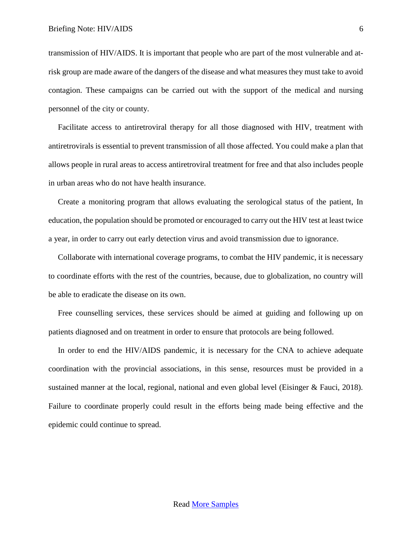transmission of HIV/AIDS. It is important that people who are part of the most vulnerable and atrisk group are made aware of the dangers of the disease and what measures they must take to avoid contagion. These campaigns can be carried out with the support of the medical and nursing personnel of the city or county.

Facilitate access to antiretroviral therapy for all those diagnosed with HIV, treatment with antiretrovirals is essential to prevent transmission of all those affected. You could make a plan that allows people in rural areas to access antiretroviral treatment for free and that also includes people in urban areas who do not have health insurance.

Create a monitoring program that allows evaluating the serological status of the patient, In education, the population should be promoted or encouraged to carry out the HIV test at least twice a year, in order to carry out early detection virus and avoid transmission due to ignorance.

Collaborate with international coverage programs, to combat the HIV pandemic, it is necessary to coordinate efforts with the rest of the countries, because, due to globalization, no country will be able to eradicate the disease on its own.

Free counselling services, these services should be aimed at guiding and following up on patients diagnosed and on treatment in order to ensure that protocols are being followed.

In order to end the HIV/AIDS pandemic, it is necessary for the CNA to achieve adequate coordination with the provincial associations, in this sense, resources must be provided in a sustained manner at the local, regional, national and even global level (Eisinger & Fauci, 2018). Failure to coordinate properly could result in the efforts being made being effective and the epidemic could continue to spread.